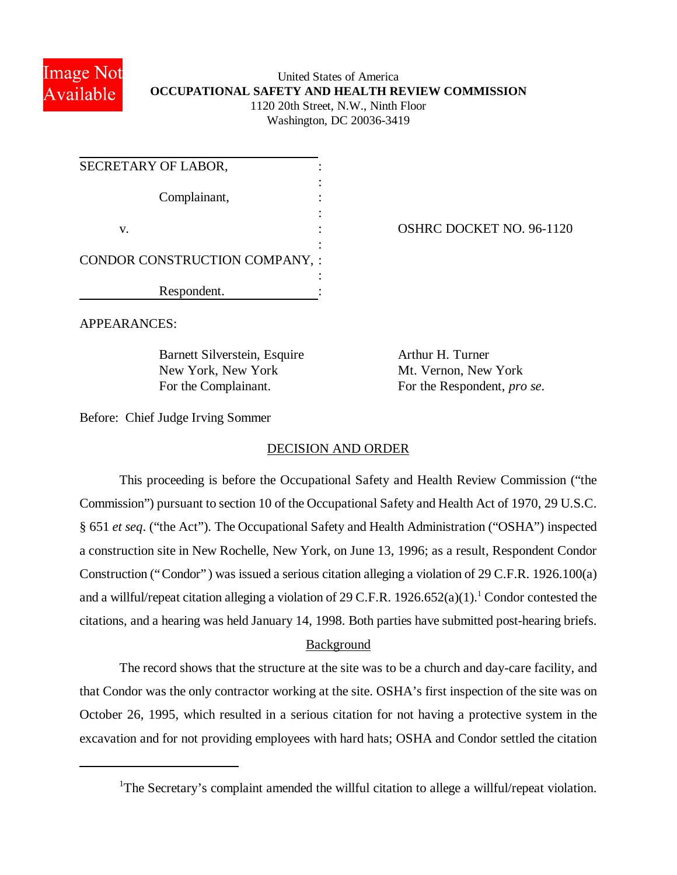

## United States of America **OCCUPATIONAL SAFETY AND HEALTH REVIEW COMMISSION** 1120 20th Street, N.W., Ninth Floor Washington, DC 20036-3419

| SECRETARY OF LABOR,            |  |
|--------------------------------|--|
| Complainant,                   |  |
| V.                             |  |
| CONDOR CONSTRUCTION COMPANY, : |  |
| Respondent.                    |  |

OSHRC DOCKET NO. 96-1120

APPEARANCES:

Barnett Silverstein, Esquire Arthur H. Turner New York, New York Mt. Vernon, New York

For the Complainant. For the Respondent, *pro se*.

Before: Chief Judge Irving Sommer

# DECISION AND ORDER

This proceeding is before the Occupational Safety and Health Review Commission ("the Commission") pursuant to section 10 of the Occupational Safety and Health Act of 1970, 29 U.S.C. § 651 *et seq*. ("the Act"). The Occupational Safety and Health Administration ("OSHA") inspected a construction site in New Rochelle, New York, on June 13, 1996; as a result, Respondent Condor Construction ("Condor") was issued a serious citation alleging a violation of 29 C.F.R. 1926.100(a) and a willful/repeat citation alleging a violation of 29 C.F.R.  $1926.652(a)(1)$ .<sup>1</sup> Condor contested the citations, and a hearing was held January 14, 1998. Both parties have submitted post-hearing briefs.

# Background

The record shows that the structure at the site was to be a church and day-care facility, and that Condor was the only contractor working at the site. OSHA's first inspection of the site was on October 26, 1995, which resulted in a serious citation for not having a protective system in the excavation and for not providing employees with hard hats; OSHA and Condor settled the citation

<sup>&</sup>lt;sup>1</sup>The Secretary's complaint amended the willful citation to allege a willful/repeat violation.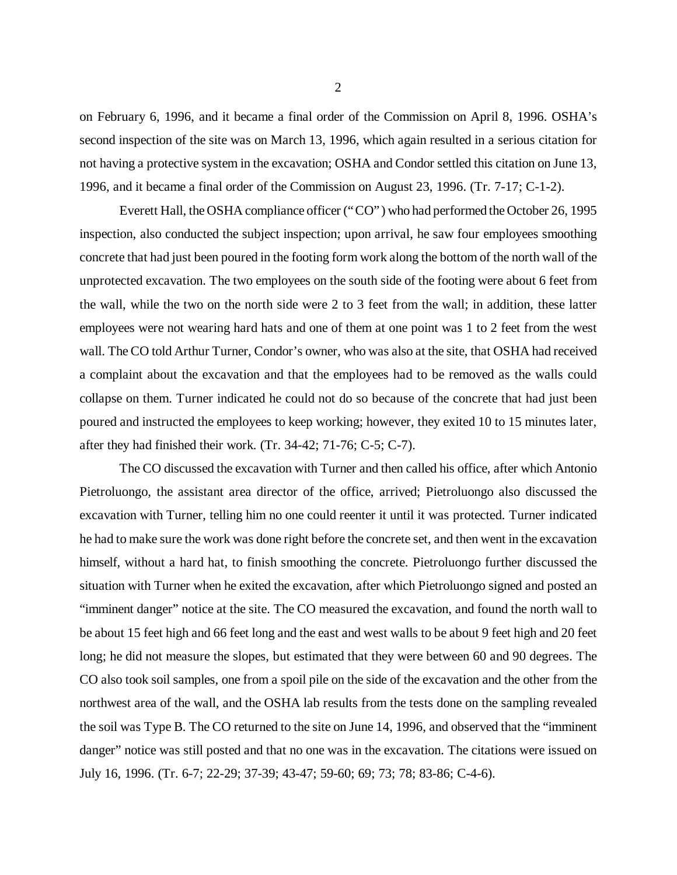on February 6, 1996, and it became a final order of the Commission on April 8, 1996. OSHA's second inspection of the site was on March 13, 1996, which again resulted in a serious citation for not having a protective system in the excavation; OSHA and Condor settled this citation on June 13, 1996, and it became a final order of the Commission on August 23, 1996. (Tr. 7-17; C-1-2).

Everett Hall, the OSHA compliance officer ("CO") who had performed the October 26, 1995 inspection, also conducted the subject inspection; upon arrival, he saw four employees smoothing concrete that had just been poured in the footing form work along the bottom of the north wall of the unprotected excavation. The two employees on the south side of the footing were about 6 feet from the wall, while the two on the north side were 2 to 3 feet from the wall; in addition, these latter employees were not wearing hard hats and one of them at one point was 1 to 2 feet from the west wall. The CO told Arthur Turner, Condor's owner, who was also at the site, that OSHA had received a complaint about the excavation and that the employees had to be removed as the walls could collapse on them. Turner indicated he could not do so because of the concrete that had just been poured and instructed the employees to keep working; however, they exited 10 to 15 minutes later, after they had finished their work. (Tr. 34-42; 71-76; C-5; C-7).

The CO discussed the excavation with Turner and then called his office, after which Antonio Pietroluongo, the assistant area director of the office, arrived; Pietroluongo also discussed the excavation with Turner, telling him no one could reenter it until it was protected. Turner indicated he had to make sure the work was done right before the concrete set, and then went in the excavation himself, without a hard hat, to finish smoothing the concrete. Pietroluongo further discussed the situation with Turner when he exited the excavation, after which Pietroluongo signed and posted an "imminent danger" notice at the site. The CO measured the excavation, and found the north wall to be about 15 feet high and 66 feet long and the east and west walls to be about 9 feet high and 20 feet long; he did not measure the slopes, but estimated that they were between 60 and 90 degrees. The CO also took soil samples, one from a spoil pile on the side of the excavation and the other from the northwest area of the wall, and the OSHA lab results from the tests done on the sampling revealed the soil was Type B. The CO returned to the site on June 14, 1996, and observed that the "imminent danger" notice was still posted and that no one was in the excavation. The citations were issued on July 16, 1996. (Tr. 6-7; 22-29; 37-39; 43-47; 59-60; 69; 73; 78; 83-86; C-4-6).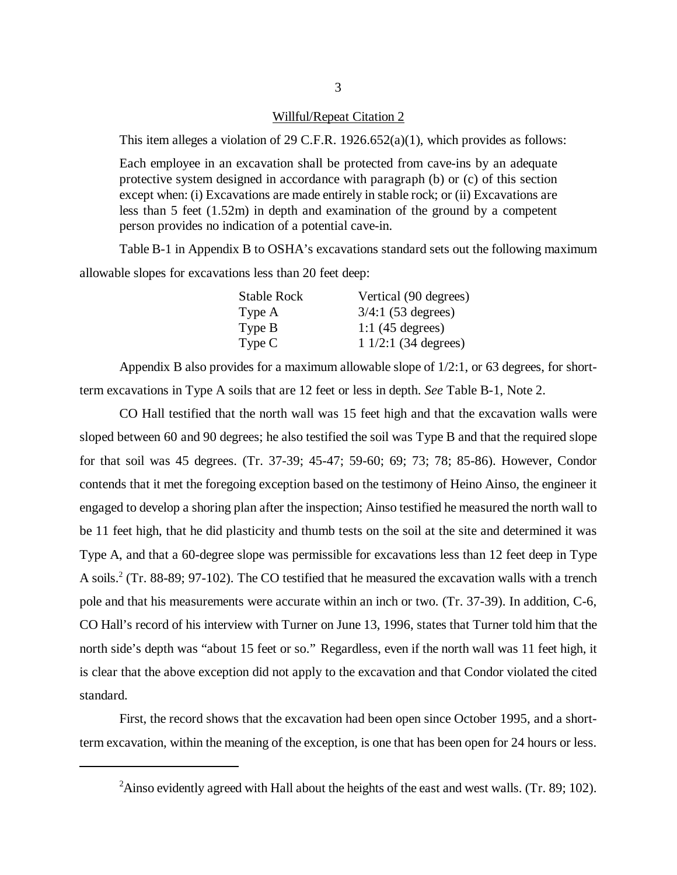#### Willful/Repeat Citation 2

This item alleges a violation of 29 C.F.R. 1926.652(a)(1), which provides as follows:

Each employee in an excavation shall be protected from cave-ins by an adequate protective system designed in accordance with paragraph (b) or (c) of this section except when: (i) Excavations are made entirely in stable rock; or (ii) Excavations are less than 5 feet (1.52m) in depth and examination of the ground by a competent person provides no indication of a potential cave-in.

Table B-1 in Appendix B to OSHA's excavations standard sets out the following maximum allowable slopes for excavations less than 20 feet deep:

| <b>Stable Rock</b> | Vertical (90 degrees)        |
|--------------------|------------------------------|
| Type A             | $3/4:1$ (53 degrees)         |
| Type B             | 1:1 $(45 \text{ degrees})$   |
| Type C             | $11/2:1(34 \text{ degrees})$ |

Appendix B also provides for a maximum allowable slope of 1/2:1, or 63 degrees, for shortterm excavations in Type A soils that are 12 feet or less in depth. *See* Table B-1, Note 2.

CO Hall testified that the north wall was 15 feet high and that the excavation walls were sloped between 60 and 90 degrees; he also testified the soil was Type B and that the required slope for that soil was 45 degrees. (Tr. 37-39; 45-47; 59-60; 69; 73; 78; 85-86). However, Condor contends that it met the foregoing exception based on the testimony of Heino Ainso, the engineer it engaged to develop a shoring plan after the inspection; Ainso testified he measured the north wall to be 11 feet high, that he did plasticity and thumb tests on the soil at the site and determined it was Type A, and that a 60-degree slope was permissible for excavations less than 12 feet deep in Type A soils.<sup>2</sup> (Tr. 88-89; 97-102). The CO testified that he measured the excavation walls with a trench pole and that his measurements were accurate within an inch or two. (Tr. 37-39). In addition, C-6, CO Hall's record of his interview with Turner on June 13, 1996, states that Turner told him that the north side's depth was "about 15 feet or so." Regardless, even if the north wall was 11 feet high, it is clear that the above exception did not apply to the excavation and that Condor violated the cited standard.

First, the record shows that the excavation had been open since October 1995, and a shortterm excavation, within the meaning of the exception, is one that has been open for 24 hours or less.

<sup>&</sup>lt;sup>2</sup>Ainso evidently agreed with Hall about the heights of the east and west walls. (Tr. 89; 102).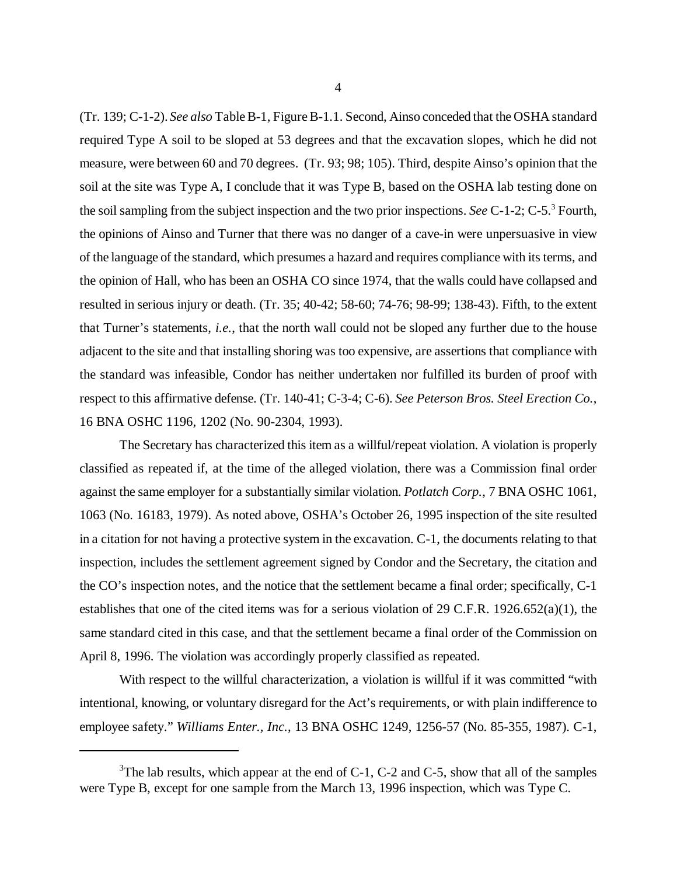(Tr. 139; C-1-2). *See also* Table B-1, Figure B-1.1. Second, Ainso conceded that the OSHA standard required Type A soil to be sloped at 53 degrees and that the excavation slopes, which he did not measure, were between 60 and 70 degrees. (Tr. 93; 98; 105). Third, despite Ainso's opinion that the soil at the site was Type A, I conclude that it was Type B, based on the OSHA lab testing done on the soil sampling from the subject inspection and the two prior inspections. *See* C-1-2; C-5.<sup>3</sup> Fourth, the opinions of Ainso and Turner that there was no danger of a cave-in were unpersuasive in view of the language of the standard, which presumes a hazard and requires compliance with its terms, and the opinion of Hall, who has been an OSHA CO since 1974, that the walls could have collapsed and resulted in serious injury or death. (Tr. 35; 40-42; 58-60; 74-76; 98-99; 138-43). Fifth, to the extent that Turner's statements, *i.e.*, that the north wall could not be sloped any further due to the house adjacent to the site and that installing shoring was too expensive, are assertions that compliance with the standard was infeasible, Condor has neither undertaken nor fulfilled its burden of proof with respect to this affirmative defense. (Tr. 140-41; C-3-4; C-6). *See Peterson Bros. Steel Erection Co.*, 16 BNA OSHC 1196, 1202 (No. 90-2304, 1993).

The Secretary has characterized this item as a willful/repeat violation. A violation is properly classified as repeated if, at the time of the alleged violation, there was a Commission final order against the same employer for a substantially similar violation. *Potlatch Corp.*, 7 BNA OSHC 1061, 1063 (No. 16183, 1979). As noted above, OSHA's October 26, 1995 inspection of the site resulted in a citation for not having a protective system in the excavation. C-1, the documents relating to that inspection, includes the settlement agreement signed by Condor and the Secretary, the citation and the CO's inspection notes, and the notice that the settlement became a final order; specifically, C-1 establishes that one of the cited items was for a serious violation of 29 C.F.R. 1926.652(a)(1), the same standard cited in this case, and that the settlement became a final order of the Commission on April 8, 1996. The violation was accordingly properly classified as repeated.

With respect to the willful characterization, a violation is willful if it was committed "with intentional, knowing, or voluntary disregard for the Act's requirements, or with plain indifference to employee safety." *Williams Enter., Inc.*, 13 BNA OSHC 1249, 1256-57 (No. 85-355, 1987). C-1,

 $3$ The lab results, which appear at the end of C-1, C-2 and C-5, show that all of the samples were Type B, except for one sample from the March 13, 1996 inspection, which was Type C.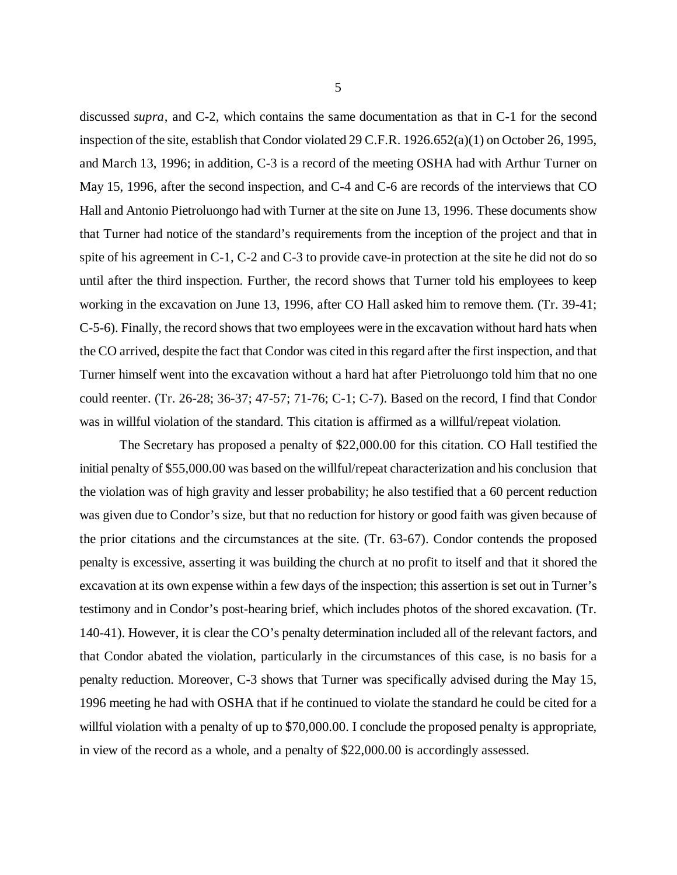discussed *supra*, and C-2, which contains the same documentation as that in C-1 for the second inspection of the site, establish that Condor violated 29 C.F.R. 1926.652(a)(1) on October 26, 1995, and March 13, 1996; in addition, C-3 is a record of the meeting OSHA had with Arthur Turner on May 15, 1996, after the second inspection, and C-4 and C-6 are records of the interviews that CO Hall and Antonio Pietroluongo had with Turner at the site on June 13, 1996. These documents show that Turner had notice of the standard's requirements from the inception of the project and that in spite of his agreement in C-1, C-2 and C-3 to provide cave-in protection at the site he did not do so until after the third inspection. Further, the record shows that Turner told his employees to keep working in the excavation on June 13, 1996, after CO Hall asked him to remove them. (Tr. 39-41; C-5-6). Finally, the record shows that two employees were in the excavation without hard hats when the CO arrived, despite the fact that Condor was cited in this regard after the first inspection, and that Turner himself went into the excavation without a hard hat after Pietroluongo told him that no one could reenter. (Tr. 26-28; 36-37; 47-57; 71-76; C-1; C-7). Based on the record, I find that Condor was in willful violation of the standard. This citation is affirmed as a willful/repeat violation.

The Secretary has proposed a penalty of \$22,000.00 for this citation. CO Hall testified the initial penalty of \$55,000.00 was based on the willful/repeat characterization and his conclusion that the violation was of high gravity and lesser probability; he also testified that a 60 percent reduction was given due to Condor's size, but that no reduction for history or good faith was given because of the prior citations and the circumstances at the site. (Tr. 63-67). Condor contends the proposed penalty is excessive, asserting it was building the church at no profit to itself and that it shored the excavation at its own expense within a few days of the inspection; this assertion is set out in Turner's testimony and in Condor's post-hearing brief, which includes photos of the shored excavation. (Tr. 140-41). However, it is clear the CO's penalty determination included all of the relevant factors, and that Condor abated the violation, particularly in the circumstances of this case, is no basis for a penalty reduction. Moreover, C-3 shows that Turner was specifically advised during the May 15, 1996 meeting he had with OSHA that if he continued to violate the standard he could be cited for a willful violation with a penalty of up to \$70,000.00. I conclude the proposed penalty is appropriate, in view of the record as a whole, and a penalty of \$22,000.00 is accordingly assessed.